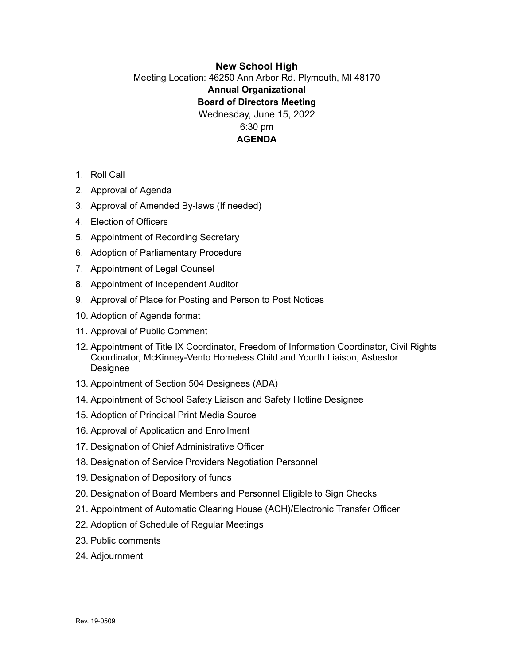# **New School High** Meeting Location: 46250 Ann Arbor Rd. Plymouth, MI 48170 **Annual Organizational Board of Directors Meeting** Wednesday, June 15, 2022 6:30 pm **AGENDA**

- 1. Roll Call
- 2. Approval of Agenda
- 3. Approval of Amended By-laws (If needed)
- 4. Election of Officers
- 5. Appointment of Recording Secretary
- 6. Adoption of Parliamentary Procedure
- 7. Appointment of Legal Counsel
- 8. Appointment of Independent Auditor
- 9. Approval of Place for Posting and Person to Post Notices
- 10. Adoption of Agenda format
- 11. Approval of Public Comment
- 12. Appointment of Title IX Coordinator, Freedom of Information Coordinator, Civil Rights Coordinator, McKinney-Vento Homeless Child and Yourth Liaison, Asbestor Designee
- 13. Appointment of Section 504 Designees (ADA)
- 14. Appointment of School Safety Liaison and Safety Hotline Designee
- 15. Adoption of Principal Print Media Source
- 16. Approval of Application and Enrollment
- 17. Designation of Chief Administrative Officer
- 18. Designation of Service Providers Negotiation Personnel
- 19. Designation of Depository of funds
- 20. Designation of Board Members and Personnel Eligible to Sign Checks
- 21. Appointment of Automatic Clearing House (ACH)/Electronic Transfer Officer
- 22. Adoption of Schedule of Regular Meetings
- 23. Public comments
- 24. Adjournment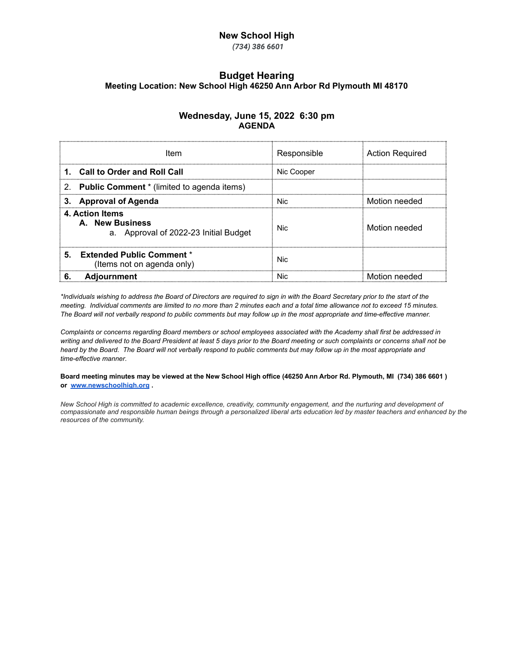## **New School High**

*(734) 386 6601*

## **Budget Hearing Meeting Location: New School High 46250 Ann Arbor Rd Plymouth MI 48170**

#### **Wednesday, June 15, 2022 6:30 pm AGENDA**

| Item                                                                        | Responsible | <b>Action Required</b> |
|-----------------------------------------------------------------------------|-------------|------------------------|
| 1. Call to Order and Roll Call                                              | Nic Cooper  |                        |
| <b>Public Comment</b> * (limited to agenda items)<br>2 <sub>1</sub>         |             |                        |
| <b>Approval of Agenda</b>                                                   | Nic:        | Motion needed          |
| 4. Action Items<br>A. New Business<br>a. Approval of 2022-23 Initial Budget | Nic.        | Motion needed          |
| 5.<br><b>Extended Public Comment *</b><br>(Items not on agenda only)        | Nic.        |                        |
| <b>Adiournment</b>                                                          | Nic.        | Motion needed          |

\*Individuals wishing to address the Board of Directors are required to sign in with the Board Secretary prior to the start of the meeting. Individual comments are limited to no more than 2 minutes each and a total time allowance not to exceed 15 minutes. The Board will not verbally respond to public comments but may follow up in the most appropriate and time-effective manner.

Complaints or concerns regarding Board members or school employees associated with the Academy shall first be addressed in writing and delivered to the Board President at least 5 days prior to the Board meeting or such complaints or concerns shall not be heard by the Board. The Board will not verbally respond to public comments but may follow up in the most appropriate and *time-effective manner*.

Board meeting minutes may be viewed at the New School High office (46250 Ann Arbor Rd. Plymouth, MI (734) 386 6601) **or [www.newschoolhigh.org](http://www.newschoolhigh.org) .**

New School High is committed to academic excellence, creativity, community engagement, and the nurturing and development of compassionate and responsible human beings through a personalized liberal arts education led by master teachers and enhanced by the *resources of the community.*